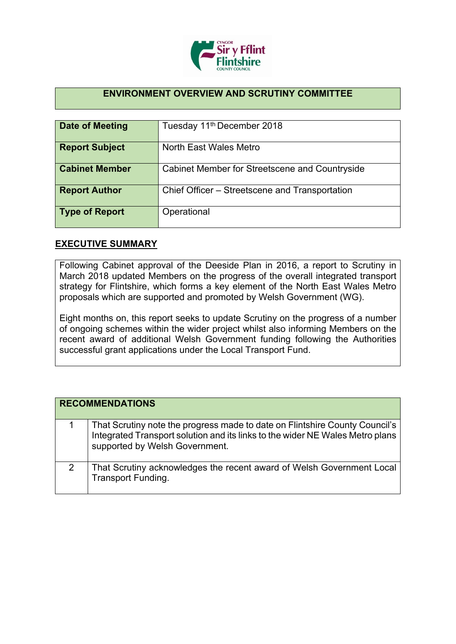

## **ENVIRONMENT OVERVIEW AND SCRUTINY COMMITTEE**

| Date of Meeting       | Tuesday 11 <sup>th</sup> December 2018         |
|-----------------------|------------------------------------------------|
| <b>Report Subject</b> | North East Wales Metro                         |
| <b>Cabinet Member</b> | Cabinet Member for Streetscene and Countryside |
| <b>Report Author</b>  | Chief Officer – Streetscene and Transportation |
| <b>Type of Report</b> | Operational                                    |

## **EXECUTIVE SUMMARY**

Following Cabinet approval of the Deeside Plan in 2016, a report to Scrutiny in March 2018 updated Members on the progress of the overall integrated transport strategy for Flintshire, which forms a key element of the North East Wales Metro proposals which are supported and promoted by Welsh Government (WG).

Eight months on, this report seeks to update Scrutiny on the progress of a number of ongoing schemes within the wider project whilst also informing Members on the recent award of additional Welsh Government funding following the Authorities successful grant applications under the Local Transport Fund.

|   | <b>RECOMMENDATIONS</b>                                                                                                                                                                         |
|---|------------------------------------------------------------------------------------------------------------------------------------------------------------------------------------------------|
|   | That Scrutiny note the progress made to date on Flintshire County Council's<br>Integrated Transport solution and its links to the wider NE Wales Metro plans<br>supported by Welsh Government. |
| 2 | That Scrutiny acknowledges the recent award of Welsh Government Local<br><b>Transport Funding.</b>                                                                                             |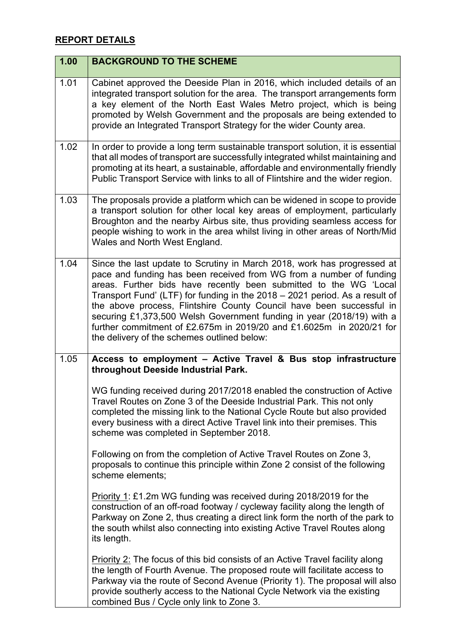## **REPORT DETAILS**

| 1.00 | <b>BACKGROUND TO THE SCHEME</b>                                                                                                                                                                                                                                                                                                                                                                                                                                                                                                                                            |
|------|----------------------------------------------------------------------------------------------------------------------------------------------------------------------------------------------------------------------------------------------------------------------------------------------------------------------------------------------------------------------------------------------------------------------------------------------------------------------------------------------------------------------------------------------------------------------------|
| 1.01 | Cabinet approved the Deeside Plan in 2016, which included details of an<br>integrated transport solution for the area. The transport arrangements form<br>a key element of the North East Wales Metro project, which is being<br>promoted by Welsh Government and the proposals are being extended to<br>provide an Integrated Transport Strategy for the wider County area.                                                                                                                                                                                               |
| 1.02 | In order to provide a long term sustainable transport solution, it is essential<br>that all modes of transport are successfully integrated whilst maintaining and<br>promoting at its heart, a sustainable, affordable and environmentally friendly<br>Public Transport Service with links to all of Flintshire and the wider region.                                                                                                                                                                                                                                      |
| 1.03 | The proposals provide a platform which can be widened in scope to provide<br>a transport solution for other local key areas of employment, particularly<br>Broughton and the nearby Airbus site, thus providing seamless access for<br>people wishing to work in the area whilst living in other areas of North/Mid<br>Wales and North West England.                                                                                                                                                                                                                       |
| 1.04 | Since the last update to Scrutiny in March 2018, work has progressed at<br>pace and funding has been received from WG from a number of funding<br>areas. Further bids have recently been submitted to the WG 'Local<br>Transport Fund' (LTF) for funding in the 2018 - 2021 period. As a result of<br>the above process, Flintshire County Council have been successful in<br>securing £1,373,500 Welsh Government funding in year (2018/19) with a<br>further commitment of £2.675m in 2019/20 and £1.6025m in 2020/21 for<br>the delivery of the schemes outlined below: |
| 1.05 | Access to employment - Active Travel & Bus stop infrastructure<br>throughout Deeside Industrial Park.                                                                                                                                                                                                                                                                                                                                                                                                                                                                      |
|      | WG funding received during 2017/2018 enabled the construction of Active<br>Travel Routes on Zone 3 of the Deeside Industrial Park. This not only<br>completed the missing link to the National Cycle Route but also provided<br>every business with a direct Active Travel link into their premises. This<br>scheme was completed in September 2018.                                                                                                                                                                                                                       |
|      | Following on from the completion of Active Travel Routes on Zone 3,<br>proposals to continue this principle within Zone 2 consist of the following<br>scheme elements;                                                                                                                                                                                                                                                                                                                                                                                                     |
|      | Priority 1: £1.2m WG funding was received during 2018/2019 for the<br>construction of an off-road footway / cycleway facility along the length of<br>Parkway on Zone 2, thus creating a direct link form the north of the park to<br>the south whilst also connecting into existing Active Travel Routes along<br>its length.                                                                                                                                                                                                                                              |
|      | Priority 2: The focus of this bid consists of an Active Travel facility along<br>the length of Fourth Avenue. The proposed route will facilitate access to<br>Parkway via the route of Second Avenue (Priority 1). The proposal will also<br>provide southerly access to the National Cycle Network via the existing<br>combined Bus / Cycle only link to Zone 3.                                                                                                                                                                                                          |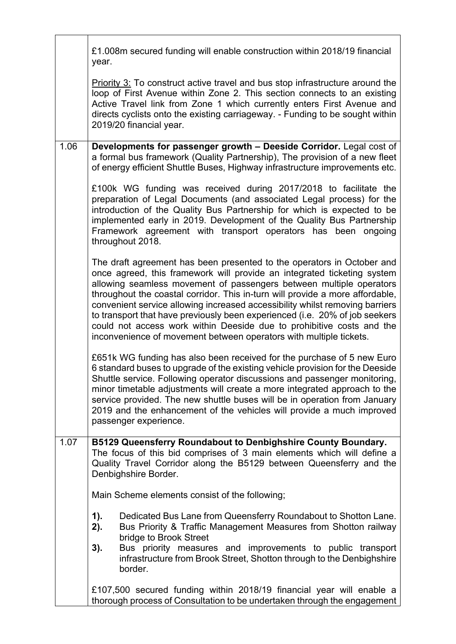|      | £1.008m secured funding will enable construction within 2018/19 financial<br>year.                                                                                                                                                                                                                                                                                                                                                                                                                                                                                                                                      |
|------|-------------------------------------------------------------------------------------------------------------------------------------------------------------------------------------------------------------------------------------------------------------------------------------------------------------------------------------------------------------------------------------------------------------------------------------------------------------------------------------------------------------------------------------------------------------------------------------------------------------------------|
|      | <b>Priority 3:</b> To construct active travel and bus stop infrastructure around the<br>loop of First Avenue within Zone 2. This section connects to an existing<br>Active Travel link from Zone 1 which currently enters First Avenue and<br>directs cyclists onto the existing carriageway. - Funding to be sought within<br>2019/20 financial year.                                                                                                                                                                                                                                                                  |
| 1.06 | Developments for passenger growth - Deeside Corridor. Legal cost of<br>a formal bus framework (Quality Partnership), The provision of a new fleet<br>of energy efficient Shuttle Buses, Highway infrastructure improvements etc.                                                                                                                                                                                                                                                                                                                                                                                        |
|      | £100k WG funding was received during 2017/2018 to facilitate the<br>preparation of Legal Documents (and associated Legal process) for the<br>introduction of the Quality Bus Partnership for which is expected to be<br>implemented early in 2019. Development of the Quality Bus Partnership<br>Framework agreement with transport operators has been ongoing<br>throughout 2018.                                                                                                                                                                                                                                      |
|      | The draft agreement has been presented to the operators in October and<br>once agreed, this framework will provide an integrated ticketing system<br>allowing seamless movement of passengers between multiple operators<br>throughout the coastal corridor. This in-turn will provide a more affordable,<br>convenient service allowing increased accessibility whilst removing barriers<br>to transport that have previously been experienced (i.e. 20% of job seekers<br>could not access work within Deeside due to prohibitive costs and the<br>inconvenience of movement between operators with multiple tickets. |
|      | £651k WG funding has also been received for the purchase of 5 new Euro<br>6 standard buses to upgrade of the existing vehicle provision for the Deeside<br>Shuttle service. Following operator discussions and passenger monitoring,<br>minor timetable adjustments will create a more integrated approach to the<br>service provided. The new shuttle buses will be in operation from January<br>2019 and the enhancement of the vehicles will provide a much improved<br>passenger experience.                                                                                                                        |
| 1.07 | <b>B5129 Queensferry Roundabout to Denbighshire County Boundary.</b><br>The focus of this bid comprises of 3 main elements which will define a<br>Quality Travel Corridor along the B5129 between Queensferry and the<br>Denbighshire Border.                                                                                                                                                                                                                                                                                                                                                                           |
|      | Main Scheme elements consist of the following;                                                                                                                                                                                                                                                                                                                                                                                                                                                                                                                                                                          |
|      | 1).<br>Dedicated Bus Lane from Queensferry Roundabout to Shotton Lane.<br>2).<br>Bus Priority & Traffic Management Measures from Shotton railway<br>bridge to Brook Street<br>3).<br>Bus priority measures and improvements to public transport                                                                                                                                                                                                                                                                                                                                                                         |
|      | infrastructure from Brook Street, Shotton through to the Denbighshire<br>border.                                                                                                                                                                                                                                                                                                                                                                                                                                                                                                                                        |
|      | £107,500 secured funding within 2018/19 financial year will enable a<br>thorough process of Consultation to be undertaken through the engagement                                                                                                                                                                                                                                                                                                                                                                                                                                                                        |

Ŀ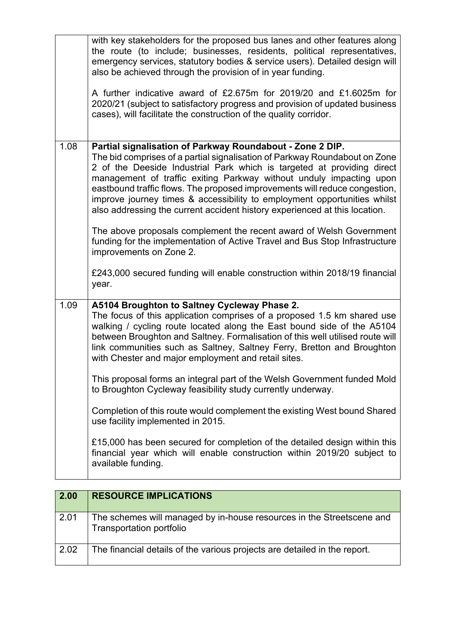|      | with key stakeholders for the proposed bus lanes and other features along<br>the route (to include; businesses, residents, political representatives,<br>emergency services, statutory bodies & service users). Detailed design will<br>also be achieved through the provision of in year funding.<br>A further indicative award of £2.675m for 2019/20 and £1.6025m for<br>2020/21 (subject to satisfactory progress and provision of updated business<br>cases), will facilitate the construction of the quality corridor.                                                                                                                                                                                                                                                                                                                                   |
|------|----------------------------------------------------------------------------------------------------------------------------------------------------------------------------------------------------------------------------------------------------------------------------------------------------------------------------------------------------------------------------------------------------------------------------------------------------------------------------------------------------------------------------------------------------------------------------------------------------------------------------------------------------------------------------------------------------------------------------------------------------------------------------------------------------------------------------------------------------------------|
| 1.08 | Partial signalisation of Parkway Roundabout - Zone 2 DIP.<br>The bid comprises of a partial signalisation of Parkway Roundabout on Zone<br>2 of the Deeside Industrial Park which is targeted at providing direct<br>management of traffic exiting Parkway without unduly impacting upon<br>eastbound traffic flows. The proposed improvements will reduce congestion,<br>improve journey times & accessibility to employment opportunities whilst<br>also addressing the current accident history experienced at this location.<br>The above proposals complement the recent award of Welsh Government<br>funding for the implementation of Active Travel and Bus Stop Infrastructure<br>improvements on Zone 2.<br>£243,000 secured funding will enable construction within 2018/19 financial<br>year.                                                       |
| 1.09 | A5104 Broughton to Saltney Cycleway Phase 2.<br>The focus of this application comprises of a proposed 1.5 km shared use<br>walking / cycling route located along the East bound side of the A5104<br>between Broughton and Saltney. Formalisation of this well utilised route will<br>link communities such as Saltney, Saltney Ferry, Bretton and Broughton<br>with Chester and major employment and retail sites.<br>This proposal forms an integral part of the Welsh Government funded Mold<br>to Broughton Cycleway feasibility study currently underway.<br>Completion of this route would complement the existing West bound Shared<br>use facility implemented in 2015.<br>£15,000 has been secured for completion of the detailed design within this<br>financial year which will enable construction within 2019/20 subject to<br>available funding. |

| 2.00 | <b>RESOURCE IMPLICATIONS</b>                                                                      |
|------|---------------------------------------------------------------------------------------------------|
| 2.01 | The schemes will managed by in-house resources in the Streetscene and<br>Transportation portfolio |
| 2.02 | The financial details of the various projects are detailed in the report.                         |